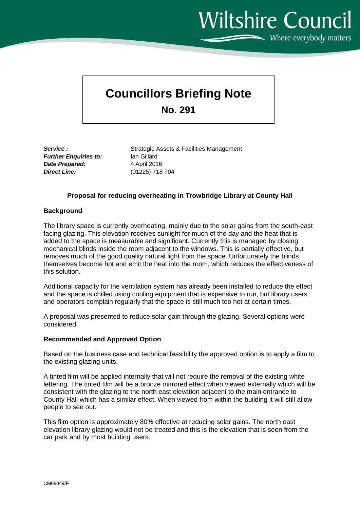**Wiltshire Council**  $\sim$  Where everybody matters

# **Councillors Briefing Note**

**No. 291**

*Further Enquiries to:* Ian Gillard *Date Prepared:* 4 April 2016 *Direct Line:* (01225) 718 704

**Service :** Strategic Assets & Facilities Management

## **Proposal for reducing overheating in Trowbridge Library at County Hall**

## **Background**

The library space is currently overheating, mainly due to the solar gains from the south-east facing glazing. This elevation receives sunlight for much of the day and the heat that is added to the space is measurable and significant. Currently this is managed by closing mechanical blinds inside the room adjacent to the windows. This is partially effective, but removes much of the good quality natural light from the space. Unfortunately the blinds themselves become hot and emit the heat into the room, which reduces the effectiveness of this solution.

Additional capacity for the ventilation system has already been installed to reduce the effect and the space is chilled using cooling equipment that is expensive to run, but library users and operators complain regularly that the space is still much too hot at certain times.

A proposal was presented to reduce solar gain through the glazing. Several options were considered.

#### **Recommended and Approved Option**

Based on the business case and technical feasibility the approved option is to apply a film to the existing glazing units.

A tinted film will be applied internally that will not require the removal of the existing white lettering. The tinted film will be a bronze mirrored effect when viewed externally which will be consistent with the glazing to the north east elevation adjacent to the main entrance to County Hall which has a similar effect. When viewed from within the building it will still allow people to see out.

This film option is approximately 80% effective at reducing solar gains. The north east elevation library glazing would not be treated and this is the elevation that is seen from the car park and by most building users.